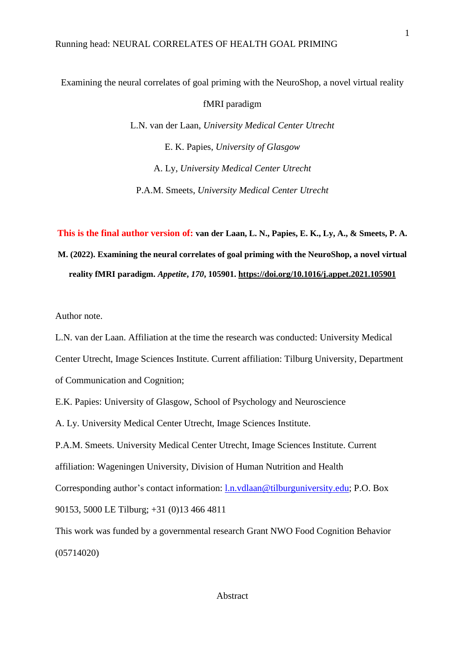Examining the neural correlates of goal priming with the NeuroShop, a novel virtual reality

fMRI paradigm

L.N. van der Laan, *University Medical Center Utrecht* E. K. Papies, *University of Glasgow* A. Ly, *University Medical Center Utrecht* P.A.M. Smeets, *University Medical Center Utrecht*

**This is the final author version of: van der Laan, L. N., Papies, E. K., Ly, A., & Smeets, P. A. M. (2022). Examining the neural correlates of goal priming with the NeuroShop, a novel virtual reality fMRI paradigm.** *Appetite***,** *170***, 105901.<https://doi.org/10.1016/j.appet.2021.105901>**

Author note.

L.N. van der Laan. Affiliation at the time the research was conducted: University Medical Center Utrecht, Image Sciences Institute. Current affiliation: Tilburg University, Department of Communication and Cognition;

E.K. Papies: University of Glasgow, School of Psychology and Neuroscience

A. Ly. University Medical Center Utrecht, Image Sciences Institute.

P.A.M. Smeets. University Medical Center Utrecht, Image Sciences Institute. Current affiliation: Wageningen University, Division of Human Nutrition and Health

Corresponding author's contact information: [l.n.vdlaan@tilburguniversity.edu;](mailto:l.n.vdlaan@tilburguniversity.edu) P.O. Box 90153, 5000 LE Tilburg; +31 (0)13 466 4811

This work was funded by a governmental research Grant NWO Food Cognition Behavior (05714020)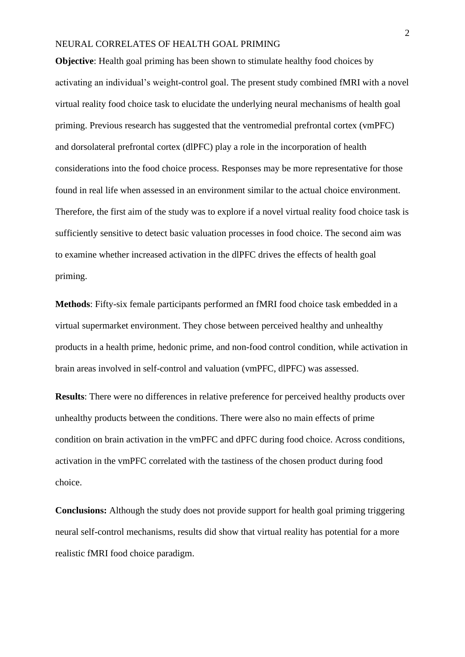**Objective**: Health goal priming has been shown to stimulate healthy food choices by activating an individual's weight-control goal. The present study combined fMRI with a novel virtual reality food choice task to elucidate the underlying neural mechanisms of health goal priming. Previous research has suggested that the ventromedial prefrontal cortex (vmPFC) and dorsolateral prefrontal cortex (dlPFC) play a role in the incorporation of health considerations into the food choice process. Responses may be more representative for those found in real life when assessed in an environment similar to the actual choice environment. Therefore, the first aim of the study was to explore if a novel virtual reality food choice task is sufficiently sensitive to detect basic valuation processes in food choice. The second aim was to examine whether increased activation in the dlPFC drives the effects of health goal priming.

**Methods**: Fifty-six female participants performed an fMRI food choice task embedded in a virtual supermarket environment. They chose between perceived healthy and unhealthy products in a health prime, hedonic prime, and non-food control condition, while activation in brain areas involved in self-control and valuation (vmPFC, dlPFC) was assessed.

**Results**: There were no differences in relative preference for perceived healthy products over unhealthy products between the conditions. There were also no main effects of prime condition on brain activation in the vmPFC and dPFC during food choice. Across conditions, activation in the vmPFC correlated with the tastiness of the chosen product during food choice.

**Conclusions:** Although the study does not provide support for health goal priming triggering neural self-control mechanisms, results did show that virtual reality has potential for a more realistic fMRI food choice paradigm.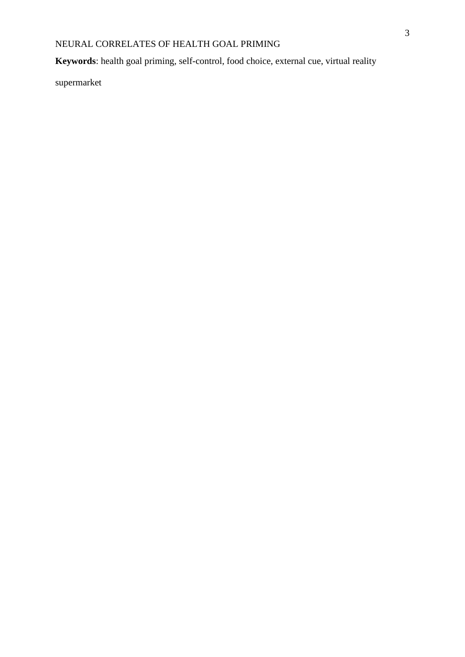**Keywords**: health goal priming, self-control, food choice, external cue, virtual reality

supermarket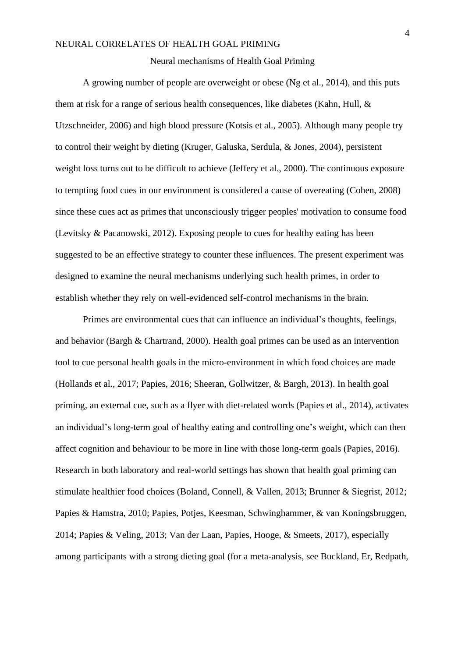#### Neural mechanisms of Health Goal Priming

A growing number of people are overweight or obese (Ng et al., 2014), and this puts them at risk for a range of serious health consequences, like diabetes (Kahn, Hull, & Utzschneider, 2006) and high blood pressure (Kotsis et al., 2005). Although many people try to control their weight by dieting (Kruger, Galuska, Serdula, & Jones, 2004), persistent weight loss turns out to be difficult to achieve (Jeffery et al., 2000). The continuous exposure to tempting food cues in our environment is considered a cause of overeating (Cohen, 2008) since these cues act as primes that unconsciously trigger peoples' motivation to consume food (Levitsky & Pacanowski, 2012). Exposing people to cues for healthy eating has been suggested to be an effective strategy to counter these influences. The present experiment was designed to examine the neural mechanisms underlying such health primes, in order to establish whether they rely on well-evidenced self-control mechanisms in the brain.

Primes are environmental cues that can influence an individual's thoughts, feelings, and behavior (Bargh & Chartrand, 2000). Health goal primes can be used as an intervention tool to cue personal health goals in the micro-environment in which food choices are made (Hollands et al., 2017; Papies, 2016; Sheeran, Gollwitzer, & Bargh, 2013). In health goal priming, an external cue, such as a flyer with diet-related words (Papies et al., 2014), activates an individual's long-term goal of healthy eating and controlling one's weight, which can then affect cognition and behaviour to be more in line with those long-term goals (Papies, 2016). Research in both laboratory and real-world settings has shown that health goal priming can stimulate healthier food choices (Boland, Connell, & Vallen, 2013; Brunner & Siegrist, 2012; Papies & Hamstra, 2010; Papies, Potjes, Keesman, Schwinghammer, & van Koningsbruggen, 2014; Papies & Veling, 2013; Van der Laan, Papies, Hooge, & Smeets, 2017), especially among participants with a strong dieting goal (for a meta-analysis, see Buckland, Er, Redpath,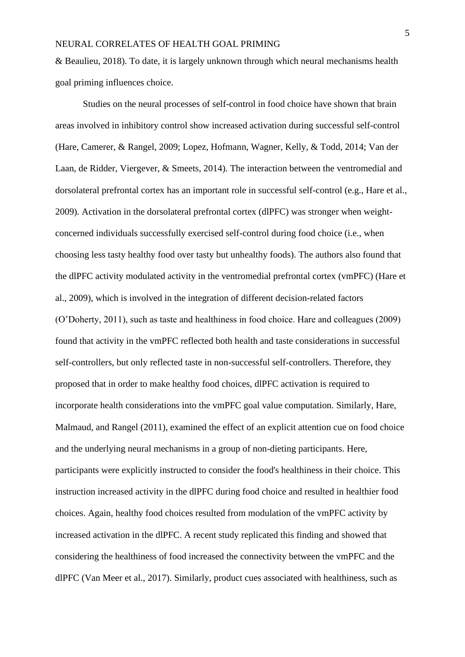& Beaulieu, 2018). To date, it is largely unknown through which neural mechanisms health goal priming influences choice.

Studies on the neural processes of self-control in food choice have shown that brain areas involved in inhibitory control show increased activation during successful self-control (Hare, Camerer, & Rangel, 2009; Lopez, Hofmann, Wagner, Kelly, & Todd, 2014; Van der Laan, de Ridder, Viergever, & Smeets, 2014). The interaction between the ventromedial and dorsolateral prefrontal cortex has an important role in successful self-control (e.g., Hare et al., 2009). Activation in the dorsolateral prefrontal cortex (dlPFC) was stronger when weightconcerned individuals successfully exercised self-control during food choice (i.e., when choosing less tasty healthy food over tasty but unhealthy foods). The authors also found that the dlPFC activity modulated activity in the ventromedial prefrontal cortex (vmPFC) (Hare et al., 2009), which is involved in the integration of different decision-related factors (O'Doherty, 2011), such as taste and healthiness in food choice. Hare and colleagues (2009) found that activity in the vmPFC reflected both health and taste considerations in successful self-controllers, but only reflected taste in non-successful self-controllers. Therefore, they proposed that in order to make healthy food choices, dlPFC activation is required to incorporate health considerations into the vmPFC goal value computation. Similarly, Hare, Malmaud, and Rangel (2011), examined the effect of an explicit attention cue on food choice and the underlying neural mechanisms in a group of non-dieting participants. Here, participants were explicitly instructed to consider the food's healthiness in their choice. This instruction increased activity in the dlPFC during food choice and resulted in healthier food choices. Again, healthy food choices resulted from modulation of the vmPFC activity by increased activation in the dlPFC. A recent study replicated this finding and showed that considering the healthiness of food increased the connectivity between the vmPFC and the dlPFC (Van Meer et al., 2017). Similarly, product cues associated with healthiness, such as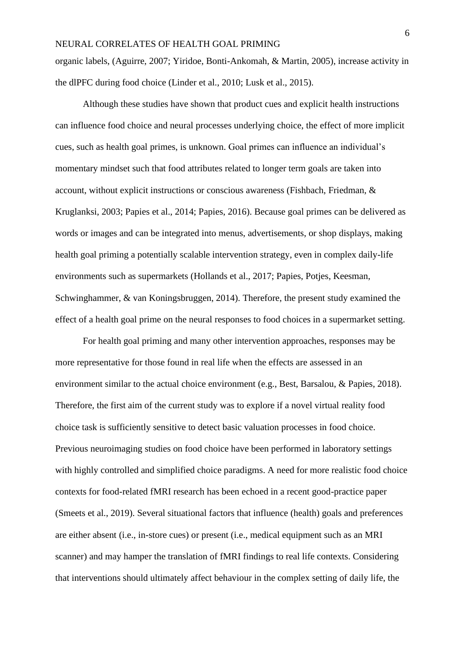organic labels, (Aguirre, 2007; Yiridoe, Bonti-Ankomah, & Martin, 2005), increase activity in the dlPFC during food choice (Linder et al., 2010; Lusk et al., 2015).

Although these studies have shown that product cues and explicit health instructions can influence food choice and neural processes underlying choice, the effect of more implicit cues, such as health goal primes, is unknown. Goal primes can influence an individual's momentary mindset such that food attributes related to longer term goals are taken into account, without explicit instructions or conscious awareness (Fishbach, Friedman, & Kruglanksi, 2003; Papies et al., 2014; Papies, 2016). Because goal primes can be delivered as words or images and can be integrated into menus, advertisements, or shop displays, making health goal priming a potentially scalable intervention strategy, even in complex daily-life environments such as supermarkets (Hollands et al., 2017; Papies, Potjes, Keesman, Schwinghammer, & van Koningsbruggen, 2014). Therefore, the present study examined the effect of a health goal prime on the neural responses to food choices in a supermarket setting.

For health goal priming and many other intervention approaches, responses may be more representative for those found in real life when the effects are assessed in an environment similar to the actual choice environment (e.g., Best, Barsalou, & Papies, 2018). Therefore, the first aim of the current study was to explore if a novel virtual reality food choice task is sufficiently sensitive to detect basic valuation processes in food choice. Previous neuroimaging studies on food choice have been performed in laboratory settings with highly controlled and simplified choice paradigms. A need for more realistic food choice contexts for food-related fMRI research has been echoed in a recent good-practice paper (Smeets et al., 2019). Several situational factors that influence (health) goals and preferences are either absent (i.e., in-store cues) or present (i.e., medical equipment such as an MRI scanner) and may hamper the translation of fMRI findings to real life contexts. Considering that interventions should ultimately affect behaviour in the complex setting of daily life, the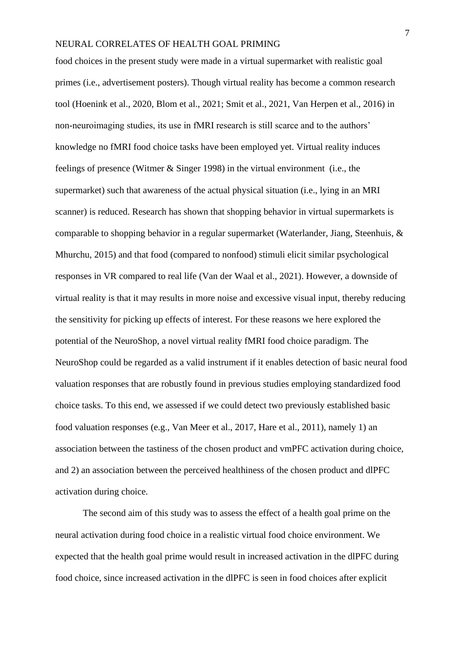food choices in the present study were made in a virtual supermarket with realistic goal primes (i.e., advertisement posters). Though virtual reality has become a common research tool (Hoenink et al., 2020, Blom et al., 2021; Smit et al., 2021, Van Herpen et al., 2016) in non-neuroimaging studies, its use in fMRI research is still scarce and to the authors' knowledge no fMRI food choice tasks have been employed yet. Virtual reality induces feelings of presence (Witmer & Singer 1998) in the virtual environment (i.e., the supermarket) such that awareness of the actual physical situation (i.e., lying in an MRI scanner) is reduced. Research has shown that shopping behavior in virtual supermarkets is comparable to shopping behavior in a regular supermarket (Waterlander, Jiang, Steenhuis, & Mhurchu, 2015) and that food (compared to nonfood) stimuli elicit similar psychological responses in VR compared to real life (Van der Waal et al., 2021). However, a downside of virtual reality is that it may results in more noise and excessive visual input, thereby reducing the sensitivity for picking up effects of interest. For these reasons we here explored the potential of the NeuroShop, a novel virtual reality fMRI food choice paradigm. The NeuroShop could be regarded as a valid instrument if it enables detection of basic neural food valuation responses that are robustly found in previous studies employing standardized food choice tasks. To this end, we assessed if we could detect two previously established basic food valuation responses (e.g., Van Meer et al., 2017, Hare et al., 2011), namely 1) an association between the tastiness of the chosen product and vmPFC activation during choice, and 2) an association between the perceived healthiness of the chosen product and dlPFC activation during choice.

The second aim of this study was to assess the effect of a health goal prime on the neural activation during food choice in a realistic virtual food choice environment. We expected that the health goal prime would result in increased activation in the dlPFC during food choice, since increased activation in the dlPFC is seen in food choices after explicit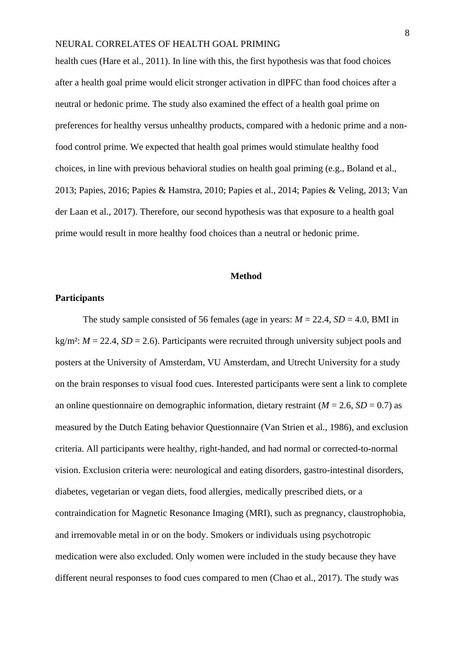health cues (Hare et al., 2011). In line with this, the first hypothesis was that food choices after a health goal prime would elicit stronger activation in dlPFC than food choices after a neutral or hedonic prime. The study also examined the effect of a health goal prime on preferences for healthy versus unhealthy products, compared with a hedonic prime and a nonfood control prime. We expected that health goal primes would stimulate healthy food choices, in line with previous behavioral studies on health goal priming (e.g., Boland et al., 2013; Papies, 2016; Papies & Hamstra, 2010; Papies et al., 2014; Papies & Veling, 2013; Van der Laan et al., 2017). Therefore, our second hypothesis was that exposure to a health goal prime would result in more healthy food choices than a neutral or hedonic prime.

#### **Method**

#### **Participants**

The study sample consisted of 56 females (age in years:  $M = 22.4$ ,  $SD = 4.0$ , BMI in  $kg/m<sup>2</sup>: M = 22.4, SD = 2.6$ . Participants were recruited through university subject pools and posters at the University of Amsterdam, VU Amsterdam, and Utrecht University for a study on the brain responses to visual food cues. Interested participants were sent a link to complete an online questionnaire on demographic information, dietary restraint  $(M = 2.6, SD = 0.7)$  as measured by the Dutch Eating behavior Questionnaire (Van Strien et al., 1986), and exclusion criteria. All participants were healthy, right-handed, and had normal or corrected-to-normal vision. Exclusion criteria were: neurological and eating disorders, gastro-intestinal disorders, diabetes, vegetarian or vegan diets, food allergies, medically prescribed diets, or a contraindication for Magnetic Resonance Imaging (MRI), such as pregnancy, claustrophobia, and irremovable metal in or on the body. Smokers or individuals using psychotropic medication were also excluded. Only women were included in the study because they have different neural responses to food cues compared to men (Chao et al., 2017). The study was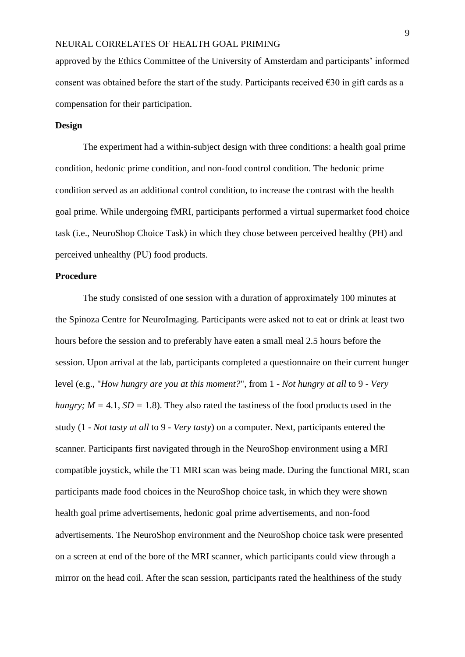approved by the Ethics Committee of the University of Amsterdam and participants' informed consent was obtained before the start of the study. Participants received  $\epsilon$ 30 in gift cards as a compensation for their participation.

# **Design**

The experiment had a within-subject design with three conditions: a health goal prime condition, hedonic prime condition, and non-food control condition. The hedonic prime condition served as an additional control condition, to increase the contrast with the health goal prime. While undergoing fMRI, participants performed a virtual supermarket food choice task (i.e., NeuroShop Choice Task) in which they chose between perceived healthy (PH) and perceived unhealthy (PU) food products.

# **Procedure**

The study consisted of one session with a duration of approximately 100 minutes at the Spinoza Centre for NeuroImaging. Participants were asked not to eat or drink at least two hours before the session and to preferably have eaten a small meal 2.5 hours before the session. Upon arrival at the lab, participants completed a questionnaire on their current hunger level (e.g., "*How hungry are you at this moment?*", from 1 - *Not hungry at all* to 9 - *Very hungry;*  $M = 4.1$ ,  $SD = 1.8$ ). They also rated the tastiness of the food products used in the study (1 - *Not tasty at all* to 9 - *Very tasty*) on a computer. Next, participants entered the scanner. Participants first navigated through in the NeuroShop environment using a MRI compatible joystick, while the T1 MRI scan was being made. During the functional MRI, scan participants made food choices in the NeuroShop choice task, in which they were shown health goal prime advertisements, hedonic goal prime advertisements, and non-food advertisements. The NeuroShop environment and the NeuroShop choice task were presented on a screen at end of the bore of the MRI scanner, which participants could view through a mirror on the head coil. After the scan session, participants rated the healthiness of the study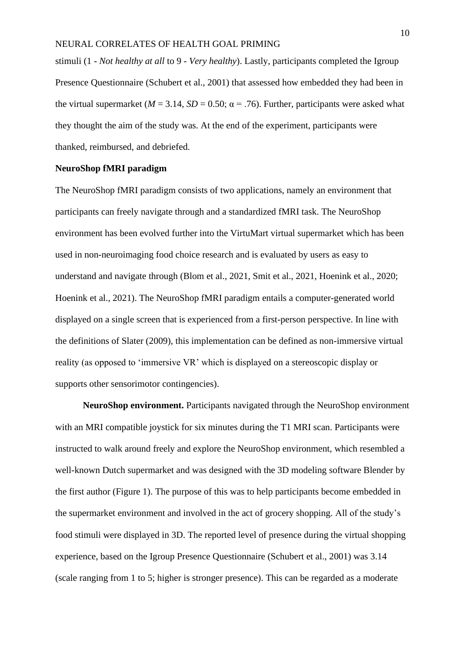stimuli (1 - *Not healthy at all* to 9 - *Very healthy*). Lastly, participants completed the Igroup Presence Questionnaire (Schubert et al., 2001) that assessed how embedded they had been in the virtual supermarket ( $M = 3.14$ ,  $SD = 0.50$ ;  $\alpha = .76$ ). Further, participants were asked what they thought the aim of the study was. At the end of the experiment, participants were thanked, reimbursed, and debriefed.

#### **NeuroShop fMRI paradigm**

The NeuroShop fMRI paradigm consists of two applications, namely an environment that participants can freely navigate through and a standardized fMRI task. The NeuroShop environment has been evolved further into the VirtuMart virtual supermarket which has been used in non-neuroimaging food choice research and is evaluated by users as easy to understand and navigate through (Blom et al., 2021, Smit et al., 2021, Hoenink et al., 2020; Hoenink et al., 2021). The NeuroShop fMRI paradigm entails a computer-generated world displayed on a single screen that is experienced from a first-person perspective. In line with the definitions of Slater (2009), this implementation can be defined as non-immersive virtual reality (as opposed to 'immersive VR' which is displayed on a stereoscopic display or supports other sensorimotor contingencies).

**NeuroShop environment.** Participants navigated through the NeuroShop environment with an MRI compatible joystick for six minutes during the T1 MRI scan. Participants were instructed to walk around freely and explore the NeuroShop environment, which resembled a well-known Dutch supermarket and was designed with the 3D modeling software Blender by the first author (Figure 1). The purpose of this was to help participants become embedded in the supermarket environment and involved in the act of grocery shopping. All of the study's food stimuli were displayed in 3D. The reported level of presence during the virtual shopping experience, based on the Igroup Presence Questionnaire (Schubert et al., 2001) was 3.14 (scale ranging from 1 to 5; higher is stronger presence). This can be regarded as a moderate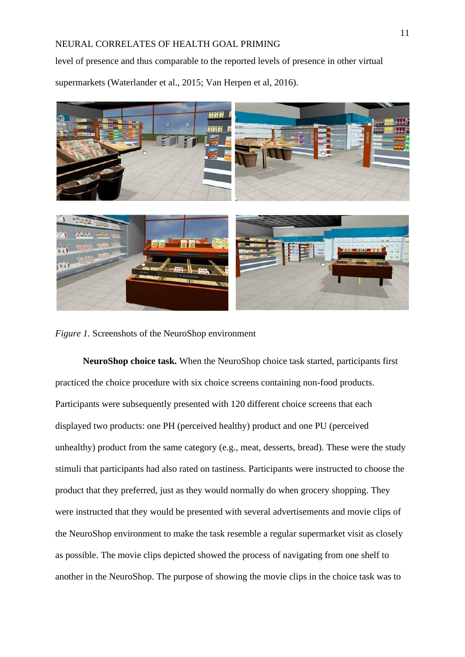level of presence and thus comparable to the reported levels of presence in other virtual supermarkets (Waterlander et al., 2015; Van Herpen et al, 2016).



*Figure 1.* Screenshots of the NeuroShop environment

**NeuroShop choice task.** When the NeuroShop choice task started, participants first practiced the choice procedure with six choice screens containing non-food products. Participants were subsequently presented with 120 different choice screens that each displayed two products: one PH (perceived healthy) product and one PU (perceived unhealthy) product from the same category (e.g., meat, desserts, bread). These were the study stimuli that participants had also rated on tastiness. Participants were instructed to choose the product that they preferred, just as they would normally do when grocery shopping. They were instructed that they would be presented with several advertisements and movie clips of the NeuroShop environment to make the task resemble a regular supermarket visit as closely as possible. The movie clips depicted showed the process of navigating from one shelf to another in the NeuroShop. The purpose of showing the movie clips in the choice task was to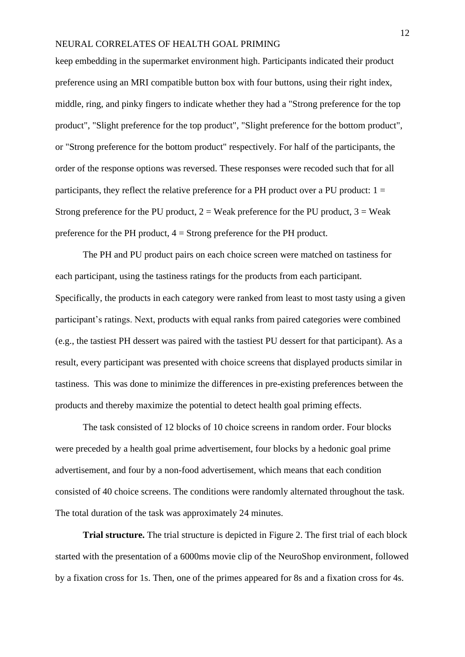keep embedding in the supermarket environment high. Participants indicated their product preference using an MRI compatible button box with four buttons, using their right index, middle, ring, and pinky fingers to indicate whether they had a "Strong preference for the top product", "Slight preference for the top product", "Slight preference for the bottom product", or "Strong preference for the bottom product" respectively. For half of the participants, the order of the response options was reversed. These responses were recoded such that for all participants, they reflect the relative preference for a PH product over a PU product:  $1 =$ Strong preference for the PU product,  $2 =$  Weak preference for the PU product,  $3 =$  Weak preference for the PH product, 4 = Strong preference for the PH product.

The PH and PU product pairs on each choice screen were matched on tastiness for each participant, using the tastiness ratings for the products from each participant. Specifically, the products in each category were ranked from least to most tasty using a given participant's ratings. Next, products with equal ranks from paired categories were combined (e.g., the tastiest PH dessert was paired with the tastiest PU dessert for that participant). As a result, every participant was presented with choice screens that displayed products similar in tastiness. This was done to minimize the differences in pre-existing preferences between the products and thereby maximize the potential to detect health goal priming effects.

The task consisted of 12 blocks of 10 choice screens in random order. Four blocks were preceded by a health goal prime advertisement, four blocks by a hedonic goal prime advertisement, and four by a non-food advertisement, which means that each condition consisted of 40 choice screens. The conditions were randomly alternated throughout the task. The total duration of the task was approximately 24 minutes.

**Trial structure.** The trial structure is depicted in Figure 2. The first trial of each block started with the presentation of a 6000ms movie clip of the NeuroShop environment, followed by a fixation cross for 1s. Then, one of the primes appeared for 8s and a fixation cross for 4s.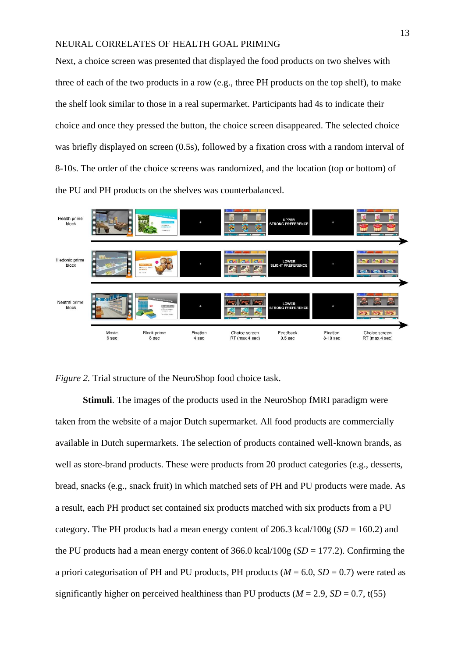Next, a choice screen was presented that displayed the food products on two shelves with three of each of the two products in a row (e.g., three PH products on the top shelf), to make the shelf look similar to those in a real supermarket. Participants had 4s to indicate their choice and once they pressed the button, the choice screen disappeared. The selected choice was briefly displayed on screen (0.5s), followed by a fixation cross with a random interval of 8-10s. The order of the choice screens was randomized, and the location (top or bottom) of the PU and PH products on the shelves was counterbalanced.



*Figure 2.* Trial structure of the NeuroShop food choice task.

**Stimuli**. The images of the products used in the NeuroShop fMRI paradigm were taken from the website of a major Dutch supermarket. All food products are commercially available in Dutch supermarkets. The selection of products contained well-known brands, as well as store-brand products. These were products from 20 product categories (e.g., desserts, bread, snacks (e.g., snack fruit) in which matched sets of PH and PU products were made. As a result, each PH product set contained six products matched with six products from a PU category. The PH products had a mean energy content of 206.3 kcal/100g ( $SD = 160.2$ ) and the PU products had a mean energy content of  $366.0 \text{ kcal}/100 \text{ g}$  (*SD* = 177.2). Confirming the a priori categorisation of PH and PU products, PH products ( $M = 6.0$ ,  $SD = 0.7$ ) were rated as significantly higher on perceived healthiness than PU products ( $M = 2.9$ ,  $SD = 0.7$ , t(55)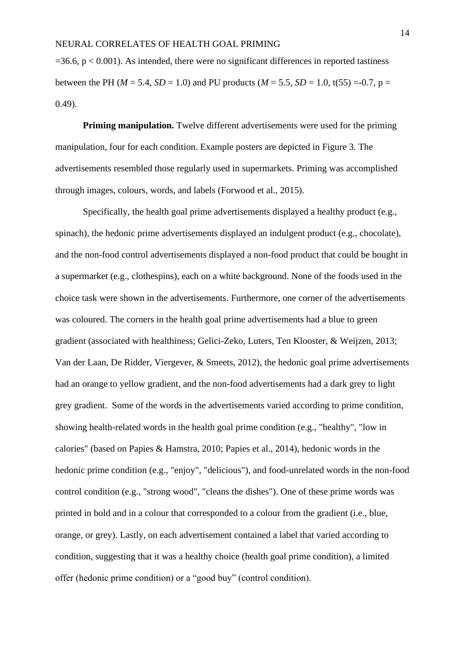$=36.6$ ,  $p < 0.001$ ). As intended, there were no significant differences in reported tastiness between the PH ( $M = 5.4$ ,  $SD = 1.0$ ) and PU products ( $M = 5.5$ ,  $SD = 1.0$ , t(55) =-0.7, p = 0.49).

**Priming manipulation.** Twelve different advertisements were used for the priming manipulation, four for each condition. Example posters are depicted in Figure 3. The advertisements resembled those regularly used in supermarkets. Priming was accomplished through images, colours, words, and labels (Forwood et al., 2015).

Specifically, the health goal prime advertisements displayed a healthy product (e.g., spinach), the hedonic prime advertisements displayed an indulgent product (e.g., chocolate), and the non-food control advertisements displayed a non-food product that could be bought in a supermarket (e.g., clothespins), each on a white background. None of the foods used in the choice task were shown in the advertisements. Furthermore, one corner of the advertisements was coloured. The corners in the health goal prime advertisements had a blue to green gradient (associated with healthiness; Gelici-Zeko, Luters, Ten Klooster, & Weijzen, 2013; Van der Laan, De Ridder, Viergever, & Smeets, 2012), the hedonic goal prime advertisements had an orange to yellow gradient, and the non-food advertisements had a dark grey to light grey gradient. Some of the words in the advertisements varied according to prime condition, showing health-related words in the health goal prime condition (e.g., "healthy", "low in calories" (based on Papies & Hamstra, 2010; Papies et al., 2014), hedonic words in the hedonic prime condition (e.g., "enjoy", "delicious"), and food-unrelated words in the non-food control condition (e.g., "strong wood", "cleans the dishes"). One of these prime words was printed in bold and in a colour that corresponded to a colour from the gradient (i.e., blue, orange, or grey). Lastly, on each advertisement contained a label that varied according to condition, suggesting that it was a healthy choice (health goal prime condition), a limited offer (hedonic prime condition) or a "good buy" (control condition).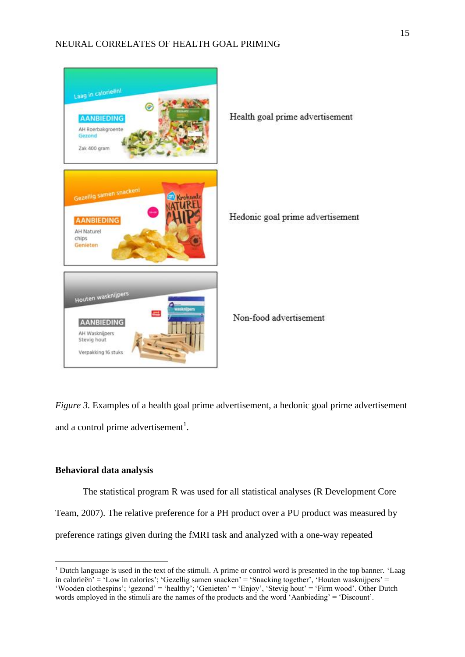

*Figure 3.* Examples of a health goal prime advertisement, a hedonic goal prime advertisement and a control prime advertisement<sup>1</sup>.

# **Behavioral data analysis**

The statistical program R was used for all statistical analyses (R Development Core Team, 2007). The relative preference for a PH product over a PU product was measured by preference ratings given during the fMRI task and analyzed with a one-way repeated

<sup>&</sup>lt;sup>1</sup> Dutch language is used in the text of the stimuli. A prime or control word is presented in the top banner. 'Laag in calorieën' = 'Low in calories'; 'Gezellig samen snacken' = 'Snacking together', 'Houten wasknijpers' = 'Wooden clothespins'; 'gezond' = 'healthy'; 'Genieten' = 'Enjoy', 'Stevig hout' = 'Firm wood'. Other Dutch words employed in the stimuli are the names of the products and the word 'Aanbieding' = 'Discount'.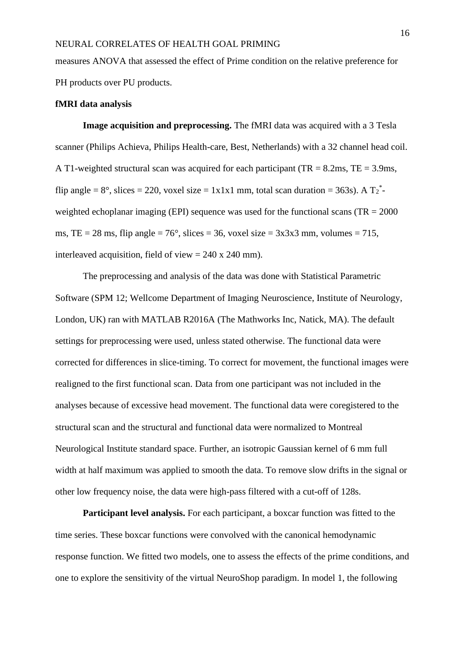measures ANOVA that assessed the effect of Prime condition on the relative preference for PH products over PU products.

#### **fMRI data analysis**

**Image acquisition and preprocessing.** The fMRI data was acquired with a 3 Tesla scanner (Philips Achieva, Philips Health-care, Best, Netherlands) with a 32 channel head coil. A T1-weighted structural scan was acquired for each participant (TR =  $8.2 \text{ms}$ , TE =  $3.9 \text{ms}$ , flip angle =  $8^\circ$ , slices = 220, voxel size = 1x1x1 mm, total scan duration = 363s). A  $T_2^*$ weighted echoplanar imaging (EPI) sequence was used for the functional scans (TR  $= 2000$ ) ms, TE = 28 ms, flip angle =  $76^{\circ}$ , slices = 36, voxel size =  $3x3x3$  mm, volumes = 715, interleaved acquisition, field of view  $= 240 \times 240$  mm).

The preprocessing and analysis of the data was done with Statistical Parametric Software (SPM 12; Wellcome Department of Imaging Neuroscience, Institute of Neurology, London, UK) ran with MATLAB R2016A (The Mathworks Inc, Natick, MA). The default settings for preprocessing were used, unless stated otherwise. The functional data were corrected for differences in slice-timing. To correct for movement, the functional images were realigned to the first functional scan. Data from one participant was not included in the analyses because of excessive head movement. The functional data were coregistered to the structural scan and the structural and functional data were normalized to Montreal Neurological Institute standard space. Further, an isotropic Gaussian kernel of 6 mm full width at half maximum was applied to smooth the data. To remove slow drifts in the signal or other low frequency noise, the data were high-pass filtered with a cut-off of 128s.

**Participant level analysis.** For each participant, a boxcar function was fitted to the time series. These boxcar functions were convolved with the canonical hemodynamic response function. We fitted two models, one to assess the effects of the prime conditions, and one to explore the sensitivity of the virtual NeuroShop paradigm. In model 1, the following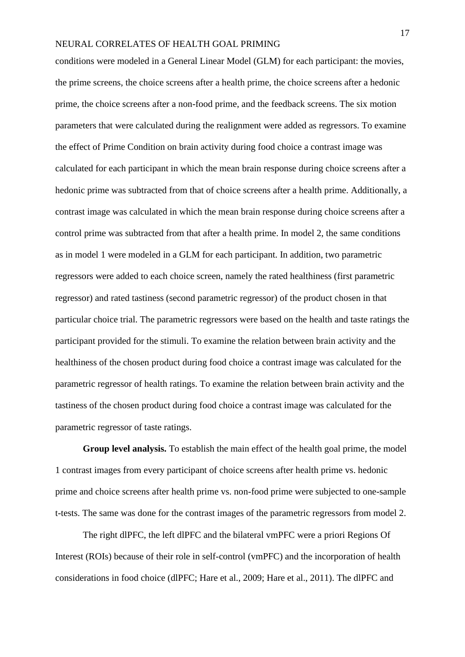conditions were modeled in a General Linear Model (GLM) for each participant: the movies, the prime screens, the choice screens after a health prime, the choice screens after a hedonic prime, the choice screens after a non-food prime, and the feedback screens. The six motion parameters that were calculated during the realignment were added as regressors. To examine the effect of Prime Condition on brain activity during food choice a contrast image was calculated for each participant in which the mean brain response during choice screens after a hedonic prime was subtracted from that of choice screens after a health prime. Additionally, a contrast image was calculated in which the mean brain response during choice screens after a control prime was subtracted from that after a health prime. In model 2, the same conditions as in model 1 were modeled in a GLM for each participant. In addition, two parametric regressors were added to each choice screen, namely the rated healthiness (first parametric regressor) and rated tastiness (second parametric regressor) of the product chosen in that particular choice trial. The parametric regressors were based on the health and taste ratings the participant provided for the stimuli. To examine the relation between brain activity and the healthiness of the chosen product during food choice a contrast image was calculated for the parametric regressor of health ratings. To examine the relation between brain activity and the tastiness of the chosen product during food choice a contrast image was calculated for the parametric regressor of taste ratings.

**Group level analysis.** To establish the main effect of the health goal prime, the model 1 contrast images from every participant of choice screens after health prime vs. hedonic prime and choice screens after health prime vs. non-food prime were subjected to one-sample t-tests. The same was done for the contrast images of the parametric regressors from model 2.

The right dlPFC, the left dlPFC and the bilateral vmPFC were a priori Regions Of Interest (ROIs) because of their role in self-control (vmPFC) and the incorporation of health considerations in food choice (dlPFC; Hare et al., 2009; Hare et al., 2011). The dlPFC and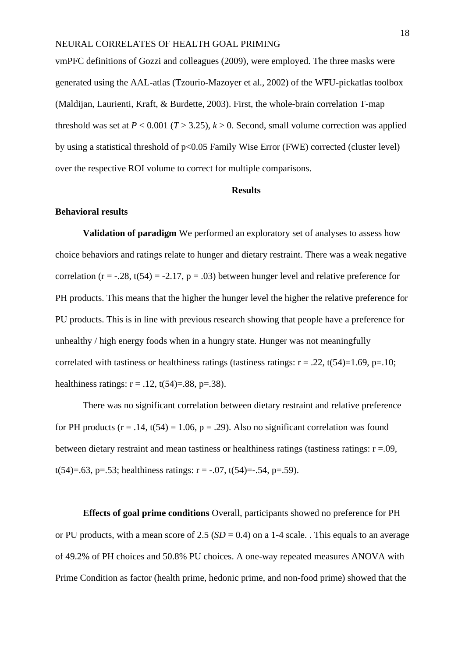vmPFC definitions of Gozzi and colleagues (2009), were employed. The three masks were generated using the AAL-atlas (Tzourio-Mazoyer et al., 2002) of the WFU-pickatlas toolbox (Maldijan, Laurienti, Kraft, & Burdette, 2003). First, the whole-brain correlation T-map threshold was set at  $P < 0.001$  ( $T > 3.25$ ),  $k > 0$ . Second, small volume correction was applied by using a statistical threshold of p<0.05 Family Wise Error (FWE) corrected (cluster level) over the respective ROI volume to correct for multiple comparisons.

#### **Results**

#### **Behavioral results**

**Validation of paradigm** We performed an exploratory set of analyses to assess how choice behaviors and ratings relate to hunger and dietary restraint. There was a weak negative correlation ( $r = -0.28$ ,  $t(54) = -2.17$ ,  $p = 0.03$ ) between hunger level and relative preference for PH products. This means that the higher the hunger level the higher the relative preference for PU products. This is in line with previous research showing that people have a preference for unhealthy / high energy foods when in a hungry state. Hunger was not meaningfully correlated with tastiness or healthiness ratings (tastiness ratings:  $r = .22$ ,  $t(54)=1.69$ ,  $p=.10$ ; healthiness ratings:  $r = .12$ ,  $t(54)=.88$ ,  $p=.38$ ).

There was no significant correlation between dietary restraint and relative preference for PH products ( $r = .14$ ,  $t(54) = 1.06$ ,  $p = .29$ ). Also no significant correlation was found between dietary restraint and mean tastiness or healthiness ratings (tastiness ratings:  $r = .09$ , t(54)=.63, p=.53; healthiness ratings:  $r = -.07$ ,  $t(54) = .54$ , p=.59).

**Effects of goal prime conditions** Overall, participants showed no preference for PH or PU products, with a mean score of  $2.5$  ( $SD = 0.4$ ) on a 1-4 scale. This equals to an average of 49.2% of PH choices and 50.8% PU choices. A one-way repeated measures ANOVA with Prime Condition as factor (health prime, hedonic prime, and non-food prime) showed that the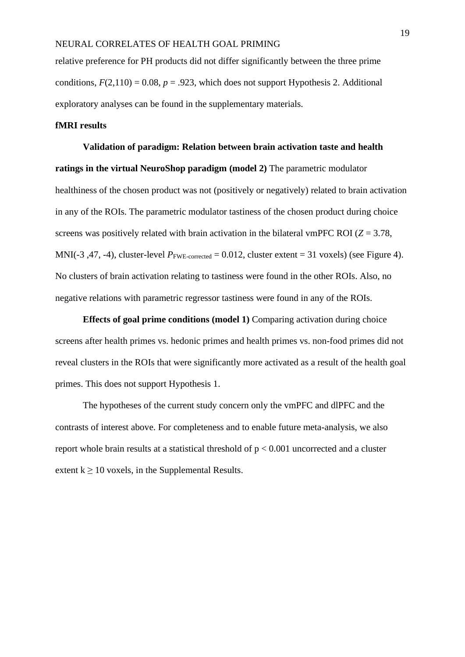relative preference for PH products did not differ significantly between the three prime conditions,  $F(2,110) = 0.08$ ,  $p = .923$ , which does not support Hypothesis 2. Additional exploratory analyses can be found in the supplementary materials.

# **fMRI results**

**Validation of paradigm: Relation between brain activation taste and health ratings in the virtual NeuroShop paradigm (model 2)** The parametric modulator healthiness of the chosen product was not (positively or negatively) related to brain activation in any of the ROIs. The parametric modulator tastiness of the chosen product during choice screens was positively related with brain activation in the bilateral vmPFC ROI (*Z* = 3.78, MNI(-3, 47, -4), cluster-level  $P_{\text{FWE-corrected}} = 0.012$ , cluster extent = 31 voxels) (see Figure 4). No clusters of brain activation relating to tastiness were found in the other ROIs. Also, no negative relations with parametric regressor tastiness were found in any of the ROIs.

**Effects of goal prime conditions (model 1)** Comparing activation during choice screens after health primes vs. hedonic primes and health primes vs. non-food primes did not reveal clusters in the ROIs that were significantly more activated as a result of the health goal primes. This does not support Hypothesis 1.

The hypotheses of the current study concern only the vmPFC and dlPFC and the contrasts of interest above. For completeness and to enable future meta-analysis, we also report whole brain results at a statistical threshold of  $p < 0.001$  uncorrected and a cluster extent  $k > 10$  voxels, in the Supplemental Results.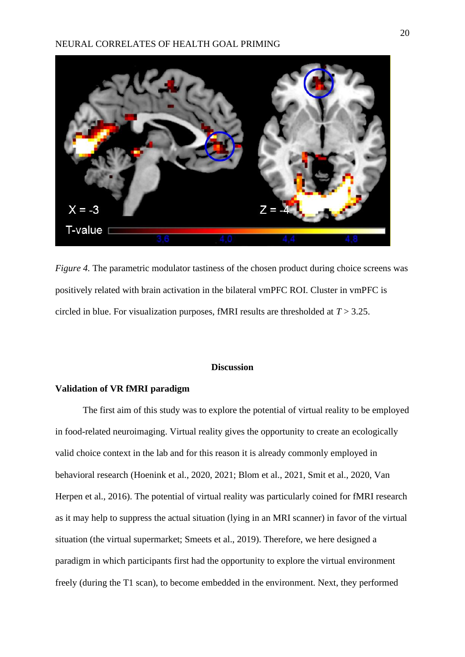

*Figure 4.* The parametric modulator tastiness of the chosen product during choice screens was positively related with brain activation in the bilateral vmPFC ROI. Cluster in vmPFC is circled in blue. For visualization purposes, fMRI results are thresholded at *T* > 3.25.

#### **Discussion**

# **Validation of VR fMRI paradigm**

The first aim of this study was to explore the potential of virtual reality to be employed in food-related neuroimaging. Virtual reality gives the opportunity to create an ecologically valid choice context in the lab and for this reason it is already commonly employed in behavioral research (Hoenink et al., 2020, 2021; Blom et al., 2021, Smit et al., 2020, Van Herpen et al., 2016). The potential of virtual reality was particularly coined for fMRI research as it may help to suppress the actual situation (lying in an MRI scanner) in favor of the virtual situation (the virtual supermarket; Smeets et al., 2019). Therefore, we here designed a paradigm in which participants first had the opportunity to explore the virtual environment freely (during the T1 scan), to become embedded in the environment. Next, they performed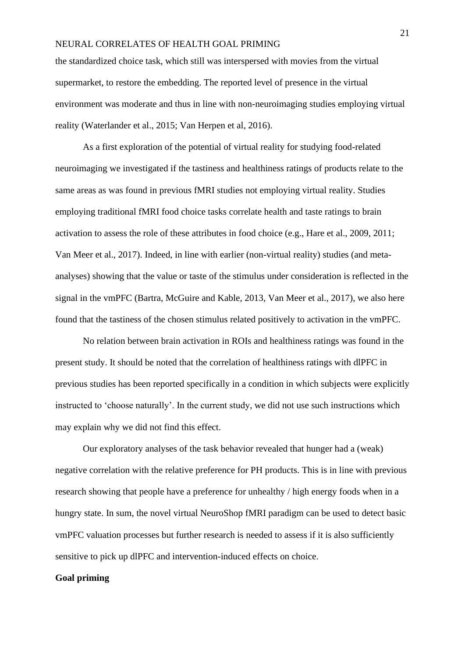the standardized choice task, which still was interspersed with movies from the virtual supermarket, to restore the embedding. The reported level of presence in the virtual environment was moderate and thus in line with non-neuroimaging studies employing virtual reality (Waterlander et al., 2015; Van Herpen et al, 2016).

As a first exploration of the potential of virtual reality for studying food-related neuroimaging we investigated if the tastiness and healthiness ratings of products relate to the same areas as was found in previous fMRI studies not employing virtual reality. Studies employing traditional fMRI food choice tasks correlate health and taste ratings to brain activation to assess the role of these attributes in food choice (e.g., Hare et al., 2009, 2011; Van Meer et al., 2017). Indeed, in line with earlier (non-virtual reality) studies (and metaanalyses) showing that the value or taste of the stimulus under consideration is reflected in the signal in the vmPFC (Bartra, McGuire and Kable, 2013, Van Meer et al., 2017), we also here found that the tastiness of the chosen stimulus related positively to activation in the vmPFC.

No relation between brain activation in ROIs and healthiness ratings was found in the present study. It should be noted that the correlation of healthiness ratings with dlPFC in previous studies has been reported specifically in a condition in which subjects were explicitly instructed to 'choose naturally'. In the current study, we did not use such instructions which may explain why we did not find this effect.

Our exploratory analyses of the task behavior revealed that hunger had a (weak) negative correlation with the relative preference for PH products. This is in line with previous research showing that people have a preference for unhealthy / high energy foods when in a hungry state. In sum, the novel virtual NeuroShop fMRI paradigm can be used to detect basic vmPFC valuation processes but further research is needed to assess if it is also sufficiently sensitive to pick up dlPFC and intervention-induced effects on choice.

# **Goal priming**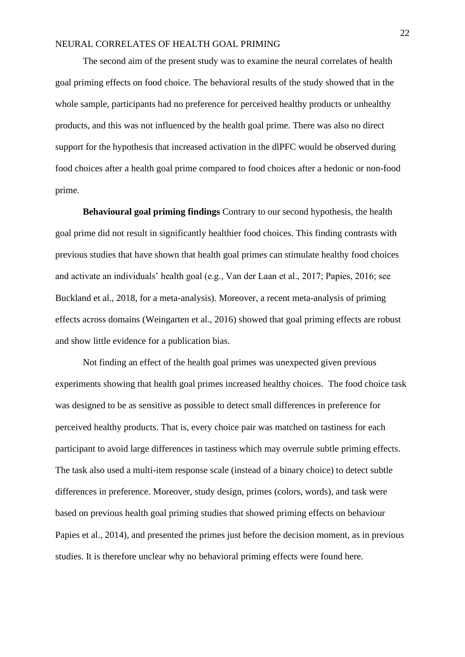The second aim of the present study was to examine the neural correlates of health goal priming effects on food choice. The behavioral results of the study showed that in the whole sample, participants had no preference for perceived healthy products or unhealthy products, and this was not influenced by the health goal prime. There was also no direct support for the hypothesis that increased activation in the dlPFC would be observed during food choices after a health goal prime compared to food choices after a hedonic or non-food prime.

**Behavioural goal priming findings** Contrary to our second hypothesis, the health goal prime did not result in significantly healthier food choices. This finding contrasts with previous studies that have shown that health goal primes can stimulate healthy food choices and activate an individuals' health goal (e.g., Van der Laan et al., 2017; Papies, 2016; see Buckland et al., 2018, for a meta-analysis). Moreover, a recent meta-analysis of priming effects across domains (Weingarten et al., 2016) showed that goal priming effects are robust and show little evidence for a publication bias.

Not finding an effect of the health goal primes was unexpected given previous experiments showing that health goal primes increased healthy choices. The food choice task was designed to be as sensitive as possible to detect small differences in preference for perceived healthy products. That is, every choice pair was matched on tastiness for each participant to avoid large differences in tastiness which may overrule subtle priming effects. The task also used a multi-item response scale (instead of a binary choice) to detect subtle differences in preference. Moreover, study design, primes (colors, words), and task were based on previous health goal priming studies that showed priming effects on behaviour Papies et al., 2014), and presented the primes just before the decision moment, as in previous studies. It is therefore unclear why no behavioral priming effects were found here.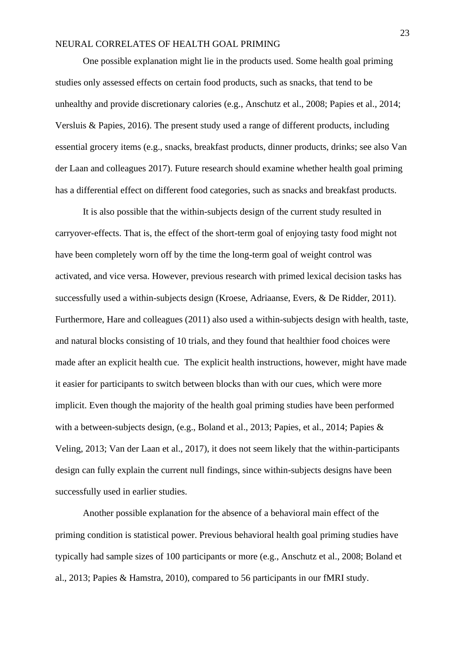One possible explanation might lie in the products used. Some health goal priming studies only assessed effects on certain food products, such as snacks, that tend to be unhealthy and provide discretionary calories (e.g., Anschutz et al., 2008; Papies et al., 2014; Versluis & Papies, 2016). The present study used a range of different products, including essential grocery items (e.g., snacks, breakfast products, dinner products, drinks; see also Van der Laan and colleagues 2017). Future research should examine whether health goal priming has a differential effect on different food categories, such as snacks and breakfast products.

It is also possible that the within-subjects design of the current study resulted in carryover-effects. That is, the effect of the short-term goal of enjoying tasty food might not have been completely worn off by the time the long-term goal of weight control was activated, and vice versa. However, previous research with primed lexical decision tasks has successfully used a within-subjects design (Kroese, Adriaanse, Evers, & De Ridder, 2011). Furthermore, Hare and colleagues (2011) also used a within-subjects design with health, taste, and natural blocks consisting of 10 trials, and they found that healthier food choices were made after an explicit health cue. The explicit health instructions, however, might have made it easier for participants to switch between blocks than with our cues, which were more implicit. Even though the majority of the health goal priming studies have been performed with a between-subjects design, (e.g., Boland et al., 2013; Papies, et al., 2014; Papies & Veling, 2013; Van der Laan et al., 2017), it does not seem likely that the within-participants design can fully explain the current null findings, since within-subjects designs have been successfully used in earlier studies.

Another possible explanation for the absence of a behavioral main effect of the priming condition is statistical power. Previous behavioral health goal priming studies have typically had sample sizes of 100 participants or more (e.g., Anschutz et al., 2008; Boland et al., 2013; Papies & Hamstra, 2010), compared to 56 participants in our fMRI study.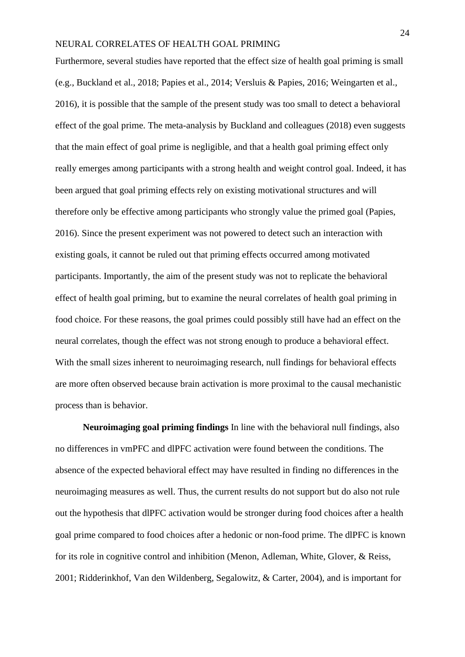Furthermore, several studies have reported that the effect size of health goal priming is small (e.g., Buckland et al., 2018; Papies et al., 2014; Versluis & Papies, 2016; Weingarten et al., 2016), it is possible that the sample of the present study was too small to detect a behavioral effect of the goal prime. The meta-analysis by Buckland and colleagues (2018) even suggests that the main effect of goal prime is negligible, and that a health goal priming effect only really emerges among participants with a strong health and weight control goal. Indeed, it has been argued that goal priming effects rely on existing motivational structures and will therefore only be effective among participants who strongly value the primed goal (Papies, 2016). Since the present experiment was not powered to detect such an interaction with existing goals, it cannot be ruled out that priming effects occurred among motivated participants. Importantly, the aim of the present study was not to replicate the behavioral effect of health goal priming, but to examine the neural correlates of health goal priming in food choice. For these reasons, the goal primes could possibly still have had an effect on the neural correlates, though the effect was not strong enough to produce a behavioral effect. With the small sizes inherent to neuroimaging research, null findings for behavioral effects are more often observed because brain activation is more proximal to the causal mechanistic process than is behavior.

**Neuroimaging goal priming findings** In line with the behavioral null findings, also no differences in vmPFC and dlPFC activation were found between the conditions. The absence of the expected behavioral effect may have resulted in finding no differences in the neuroimaging measures as well. Thus, the current results do not support but do also not rule out the hypothesis that dlPFC activation would be stronger during food choices after a health goal prime compared to food choices after a hedonic or non-food prime. The dlPFC is known for its role in cognitive control and inhibition (Menon, Adleman, White, Glover, & Reiss, 2001; Ridderinkhof, Van den Wildenberg, Segalowitz, & Carter, 2004), and is important for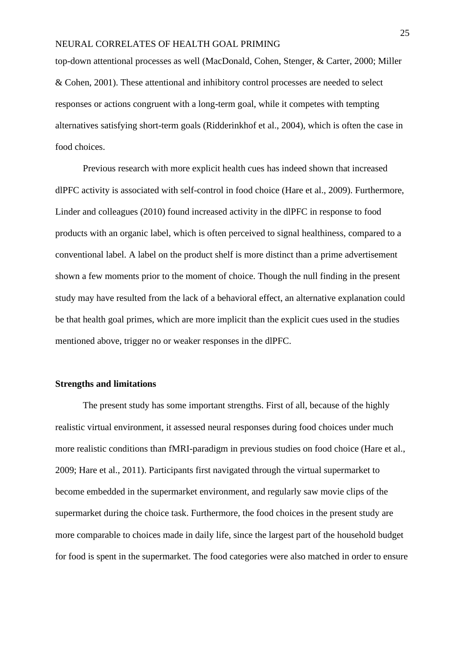top-down attentional processes as well (MacDonald, Cohen, Stenger, & Carter, 2000; Miller & Cohen, 2001). These attentional and inhibitory control processes are needed to select responses or actions congruent with a long-term goal, while it competes with tempting alternatives satisfying short-term goals (Ridderinkhof et al., 2004), which is often the case in food choices.

Previous research with more explicit health cues has indeed shown that increased dlPFC activity is associated with self-control in food choice (Hare et al., 2009). Furthermore, Linder and colleagues (2010) found increased activity in the dlPFC in response to food products with an organic label, which is often perceived to signal healthiness, compared to a conventional label. A label on the product shelf is more distinct than a prime advertisement shown a few moments prior to the moment of choice. Though the null finding in the present study may have resulted from the lack of a behavioral effect, an alternative explanation could be that health goal primes, which are more implicit than the explicit cues used in the studies mentioned above, trigger no or weaker responses in the dlPFC.

#### **Strengths and limitations**

The present study has some important strengths. First of all, because of the highly realistic virtual environment, it assessed neural responses during food choices under much more realistic conditions than fMRI-paradigm in previous studies on food choice (Hare et al., 2009; Hare et al., 2011). Participants first navigated through the virtual supermarket to become embedded in the supermarket environment, and regularly saw movie clips of the supermarket during the choice task. Furthermore, the food choices in the present study are more comparable to choices made in daily life, since the largest part of the household budget for food is spent in the supermarket. The food categories were also matched in order to ensure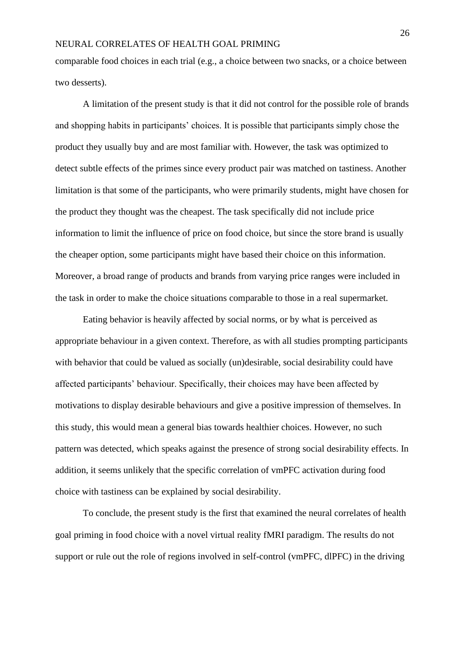comparable food choices in each trial (e.g., a choice between two snacks, or a choice between two desserts).

A limitation of the present study is that it did not control for the possible role of brands and shopping habits in participants' choices. It is possible that participants simply chose the product they usually buy and are most familiar with. However, the task was optimized to detect subtle effects of the primes since every product pair was matched on tastiness. Another limitation is that some of the participants, who were primarily students, might have chosen for the product they thought was the cheapest. The task specifically did not include price information to limit the influence of price on food choice, but since the store brand is usually the cheaper option, some participants might have based their choice on this information. Moreover, a broad range of products and brands from varying price ranges were included in the task in order to make the choice situations comparable to those in a real supermarket.

Eating behavior is heavily affected by social norms, or by what is perceived as appropriate behaviour in a given context. Therefore, as with all studies prompting participants with behavior that could be valued as socially (un)desirable, social desirability could have affected participants' behaviour. Specifically, their choices may have been affected by motivations to display desirable behaviours and give a positive impression of themselves. In this study, this would mean a general bias towards healthier choices. However, no such pattern was detected, which speaks against the presence of strong social desirability effects. In addition, it seems unlikely that the specific correlation of vmPFC activation during food choice with tastiness can be explained by social desirability.

To conclude, the present study is the first that examined the neural correlates of health goal priming in food choice with a novel virtual reality fMRI paradigm. The results do not support or rule out the role of regions involved in self-control (vmPFC, dlPFC) in the driving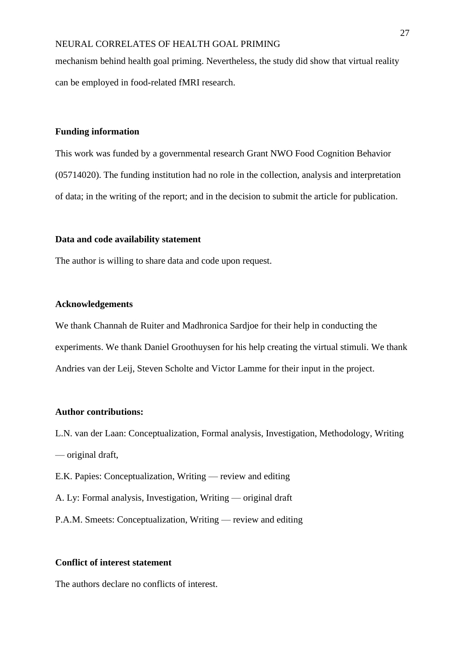mechanism behind health goal priming. Nevertheless, the study did show that virtual reality can be employed in food-related fMRI research.

# **Funding information**

This work was funded by a governmental research Grant NWO Food Cognition Behavior (05714020). The funding institution had no role in the collection, analysis and interpretation of data; in the writing of the report; and in the decision to submit the article for publication.

#### **Data and code availability statement**

The author is willing to share data and code upon request.

#### **Acknowledgements**

We thank Channah de Ruiter and Madhronica Sardjoe for their help in conducting the experiments. We thank Daniel Groothuysen for his help creating the virtual stimuli. We thank Andries van der Leij, Steven Scholte and Victor Lamme for their input in the project.

#### **Author contributions:**

L.N. van der Laan: Conceptualization, Formal analysis, Investigation, Methodology, Writing — original draft,

E.K. Papies: Conceptualization, Writing — review and editing

A. Ly: Formal analysis, Investigation, Writing — original draft

P.A.M. Smeets: Conceptualization, Writing — review and editing

# **Conflict of interest statement**

The authors declare no conflicts of interest.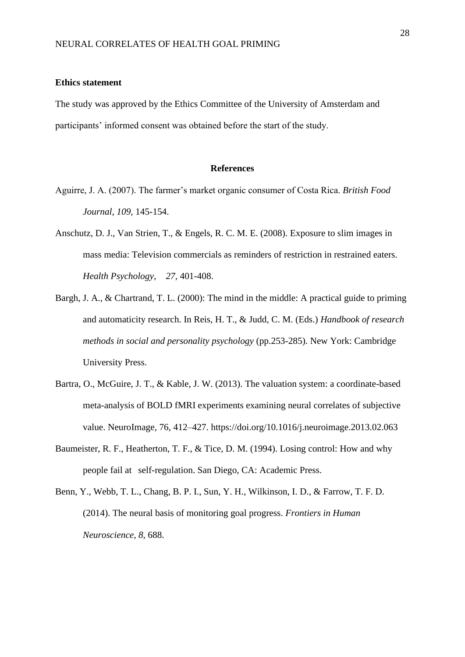### **Ethics statement**

The study was approved by the Ethics Committee of the University of Amsterdam and participants' informed consent was obtained before the start of the study.

#### **References**

- Aguirre, J. A. (2007). The farmer's market organic consumer of Costa Rica. *British Food Journal, 109,* 145-154.
- Anschutz, D. J., Van Strien, T., & Engels, R. C. M. E. (2008). Exposure to slim images in mass media: Television commercials as reminders of restriction in restrained eaters. *Health Psychology, 27,* 401-408.
- Bargh, J. A., & Chartrand, T. L. (2000): The mind in the middle: A practical guide to priming and automaticity research. In Reis, H. T., & Judd, C. M. (Eds.) *Handbook of research methods in social and personality psychology* (pp.253-285). New York: Cambridge University Press.
- Bartra, O., McGuire, J. T., & Kable, J. W. (2013). The valuation system: a coordinate-based meta-analysis of BOLD fMRI experiments examining neural correlates of subjective value. NeuroImage, 76, 412–427. https://doi.org/10.1016/j.neuroimage.2013.02.063
- Baumeister, R. F., Heatherton, T. F., & Tice, D. M. (1994). Losing control: How and why people fail at self-regulation. San Diego, CA: Academic Press.
- Benn, Y., Webb, T. L., Chang, B. P. I., Sun, Y. H., Wilkinson, I. D., & Farrow, T. F. D. (2014). The neural basis of monitoring goal progress. *Frontiers in Human Neuroscience, 8,* 688.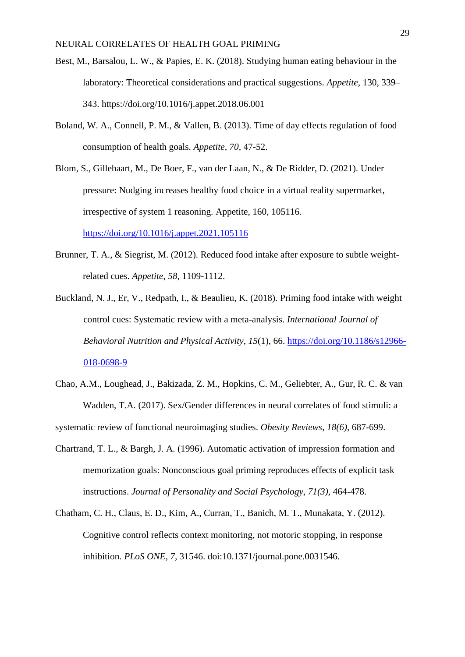- Best, M., Barsalou, L. W., & Papies, E. K. (2018). Studying human eating behaviour in the laboratory: Theoretical considerations and practical suggestions. *Appetite,* 130, 339– 343.<https://doi.org/10.1016/j.appet.2018.06.001>
- Boland, W. A., Connell, P. M., & Vallen, B. (2013). Time of day effects regulation of food consumption of health goals. *Appetite, 70,* 47-52.
- Blom, S., Gillebaart, M., De Boer, F., van der Laan, N., & De Ridder, D. (2021). Under pressure: Nudging increases healthy food choice in a virtual reality supermarket, irrespective of system 1 reasoning. Appetite, 160, 105116. <https://doi.org/10.1016/j.appet.2021.105116>
- Brunner, T. A., & Siegrist, M. (2012). Reduced food intake after exposure to subtle weightrelated cues. *Appetite, 58,* 1109-1112.
- Buckland, N. J., Er, V., Redpath, I., & Beaulieu, K. (2018). Priming food intake with weight control cues: Systematic review with a meta-analysis. *International Journal of Behavioral Nutrition and Physical Activity*, *15*(1), 66. [https://doi.org/10.1186/s12966-](https://doi.org/10.1186/s12966-018-0698-9) [018-0698-9](https://doi.org/10.1186/s12966-018-0698-9)
- Chao, A.M., Loughead, J., Bakizada, Z. M., Hopkins, C. M., Geliebter, A., Gur, R. C. & van Wadden, T.A. (2017). Sex/Gender differences in neural correlates of food stimuli: a

systematic review of functional neuroimaging studies. *Obesity Reviews, 18(6),* 687-699.

- Chartrand, T. L., & Bargh, J. A. (1996). Automatic activation of impression formation and memorization goals: Nonconscious goal priming reproduces effects of explicit task instructions. *Journal of Personality and Social Psychology, 71(3),* 464-478.
- Chatham, C. H., Claus, E. D., Kim, A., Curran, T., Banich, M. T., Munakata, Y. (2012). Cognitive control reflects context monitoring, not motoric stopping, in response inhibition. *PLoS ONE, 7,* 31546. doi:10.1371/journal.pone.0031546.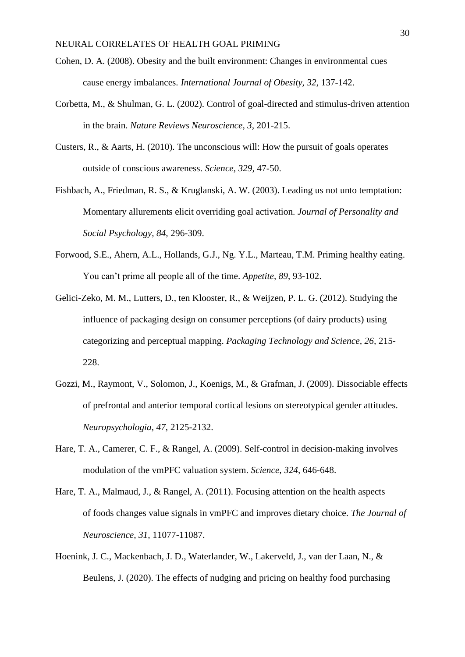- Cohen, D. A. (2008). Obesity and the built environment: Changes in environmental cues cause energy imbalances. *International Journal of Obesity, 32*, 137-142.
- Corbetta, M., & Shulman, G. L. (2002). Control of goal-directed and stimulus-driven attention in the brain. *Nature Reviews Neuroscience, 3,* 201-215.
- Custers, R., & Aarts, H. (2010). The unconscious will: How the pursuit of goals operates outside of conscious awareness. *Science, 329,* 47-50.
- Fishbach, A., Friedman, R. S., & Kruglanski, A. W. (2003). Leading us not unto temptation: Momentary allurements elicit overriding goal activation. *Journal of Personality and Social Psychology, 84,* 296-309.
- Forwood, S.E., Ahern, A.L., Hollands, G.J., Ng. Y.L., Marteau, T.M. Priming healthy eating. You can't prime all people all of the time. *Appetite, 89*, 93-102.
- Gelici-Zeko, M. M., Lutters, D., ten Klooster, R., & Weijzen, P. L. G. (2012). Studying the influence of packaging design on consumer perceptions (of dairy products) using categorizing and perceptual mapping. *Packaging Technology and Science, 26,* 215- 228.
- Gozzi, M., Raymont, V., Solomon, J., Koenigs, M., & Grafman, J. (2009). Dissociable effects of prefrontal and anterior temporal cortical lesions on stereotypical gender attitudes. *Neuropsychologia, 47,* 2125-2132.
- Hare, T. A., Camerer, C. F., & Rangel, A. (2009). Self-control in decision-making involves modulation of the vmPFC valuation system. *Science, 324,* 646-648.
- Hare, T. A., Malmaud, J., & Rangel, A. (2011). Focusing attention on the health aspects of foods changes value signals in vmPFC and improves dietary choice. *The Journal of Neuroscience, 31,* 11077-11087.
- Hoenink, J. C., Mackenbach, J. D., Waterlander, W., Lakerveld, J., van der Laan, N., & Beulens, J. (2020). The effects of nudging and pricing on healthy food purchasing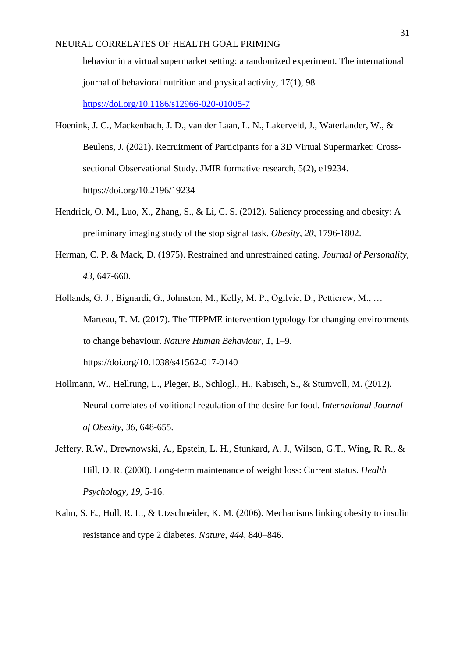behavior in a virtual supermarket setting: a randomized experiment. The international journal of behavioral nutrition and physical activity, 17(1), 98. <https://doi.org/10.1186/s12966-020-01005-7>

Hoenink, J. C., Mackenbach, J. D., van der Laan, L. N., Lakerveld, J., Waterlander, W., & Beulens, J. (2021). Recruitment of Participants for a 3D Virtual Supermarket: Crosssectional Observational Study. JMIR formative research, 5(2), e19234. https://doi.org/10.2196/19234

- Hendrick, O. M., Luo, X., Zhang, S., & Li, C. S. (2012). Saliency processing and obesity: A preliminary imaging study of the stop signal task. *Obesity, 20,* 1796-1802.
- Herman, C. P. & Mack, D. (1975). Restrained and unrestrained eating. *Journal of Personality, 43,* 647-660.
- Hollands, G. J., Bignardi, G., Johnston, M., Kelly, M. P., Ogilvie, D., Petticrew, M., … Marteau, T. M. (2017). The TIPPME intervention typology for changing environments to change behaviour. *Nature Human Behaviour*, *1*, 1–9. https://doi.org/10.1038/s41562-017-0140
- Hollmann, W., Hellrung, L., Pleger, B., Schlogl., H., Kabisch, S., & Stumvoll, M. (2012). Neural correlates of volitional regulation of the desire for food. *International Journal of Obesity, 36,* 648-655.
- Jeffery, R.W., Drewnowski, A., Epstein, L. H., Stunkard, A. J., Wilson, G.T., Wing, R. R., & Hill, D. R. (2000). Long-term maintenance of weight loss: Current status. *Health Psychology, 19,* 5-16.
- Kahn, S. E., Hull, R. L., & Utzschneider, K. M. (2006). Mechanisms linking obesity to insulin resistance and type 2 diabetes. *Nature, 444*, 840–846.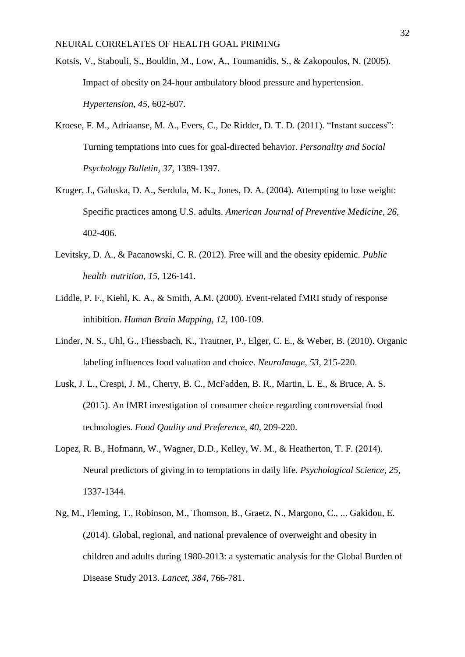- Kotsis, V., Stabouli, S., Bouldin, M., Low, A., Toumanidis, S., & Zakopoulos, N. (2005). Impact of obesity on 24-hour ambulatory blood pressure and hypertension. *Hypertension, 45,* 602-607.
- Kroese, F. M., Adriaanse, M. A., Evers, C., De Ridder, D. T. D. (2011). "Instant success": Turning temptations into cues for goal-directed behavior. *Personality and Social Psychology Bulletin, 37,* 1389-1397.
- Kruger, J., Galuska, D. A., Serdula, M. K., Jones, D. A. (2004). Attempting to lose weight: Specific practices among U.S. adults. *American Journal of Preventive Medicine, 26,*  402-406.
- Levitsky, D. A., & Pacanowski, C. R. (2012). Free will and the obesity epidemic. *Public health nutrition, 15,* 126-141.
- Liddle, P. F., Kiehl, K. A., & Smith, A.M. (2000). Event-related fMRI study of response inhibition. *Human Brain Mapping, 12,* 100-109.
- Linder, N. S., Uhl, G., Fliessbach, K., Trautner, P., Elger, C. E., & Weber, B. (2010). Organic labeling influences food valuation and choice. *NeuroImage, 53,* 215-220.
- Lusk, J. L., Crespi, J. M., Cherry, B. C., McFadden, B. R., Martin, L. E., & Bruce, A. S. (2015). An fMRI investigation of consumer choice regarding controversial food technologies. *Food Quality and Preference, 40,* 209-220.
- Lopez, R. B., Hofmann, W., Wagner, D.D., Kelley, W. M., & Heatherton, T. F. (2014). Neural predictors of giving in to temptations in daily life. *Psychological Science, 25,*  1337-1344.
- Ng, M., Fleming, T., Robinson, M., Thomson, B., Graetz, N., Margono, C., ... Gakidou, E. (2014). Global, regional, and national prevalence of overweight and obesity in children and adults during 1980-2013: a systematic analysis for the Global Burden of Disease Study 2013. *Lancet, 384,* 766-781.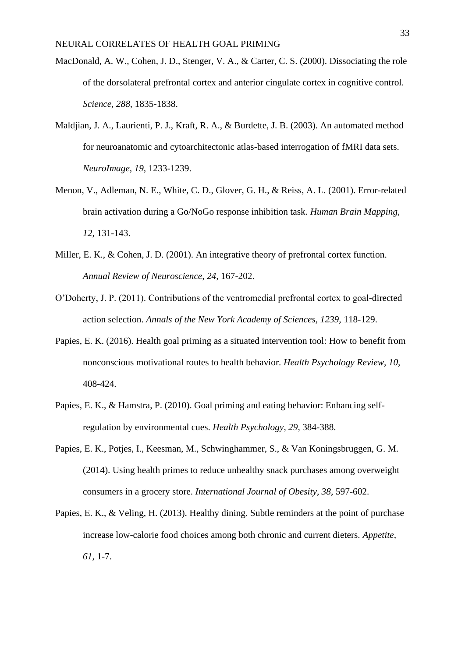- MacDonald, A. W., Cohen, J. D., Stenger, V. A., & Carter, C. S. (2000). Dissociating the role of the dorsolateral prefrontal cortex and anterior cingulate cortex in cognitive control. *Science, 288,* 1835-1838.
- Maldjian, J. A., Laurienti, P. J., Kraft, R. A., & Burdette, J. B. (2003). An automated method for neuroanatomic and cytoarchitectonic atlas-based interrogation of fMRI data sets. *NeuroImage, 19,* 1233-1239.
- Menon, V., Adleman, N. E., White, C. D., Glover, G. H., & Reiss, A. L. (2001). Error-related brain activation during a Go/NoGo response inhibition task. *Human Brain Mapping, 12,* 131-143.
- Miller, E. K., & Cohen, J. D. (2001). An integrative theory of prefrontal cortex function. *Annual Review of Neuroscience, 24,* 167-202.
- O'Doherty, J. P. (2011). Contributions of the ventromedial prefrontal cortex to goal-directed action selection. *Annals of the New York Academy of Sciences, 1239,* 118-129.
- Papies, E. K. (2016). Health goal priming as a situated intervention tool: How to benefit from nonconscious motivational routes to health behavior. *Health Psychology Review, 10,*  408-424.
- Papies, E. K., & Hamstra, P. (2010). Goal priming and eating behavior: Enhancing selfregulation by environmental cues. *Health Psychology, 29,* 384-388.
- Papies, E. K., Potjes, I., Keesman, M., Schwinghammer, S., & Van Koningsbruggen, G. M. (2014). Using health primes to reduce unhealthy snack purchases among overweight consumers in a grocery store. *International Journal of Obesity, 38,* 597-602.
- Papies, E. K., & Veling, H. (2013). Healthy dining. Subtle reminders at the point of purchase increase low-calorie food choices among both chronic and current dieters. *Appetite, 61,* 1-7.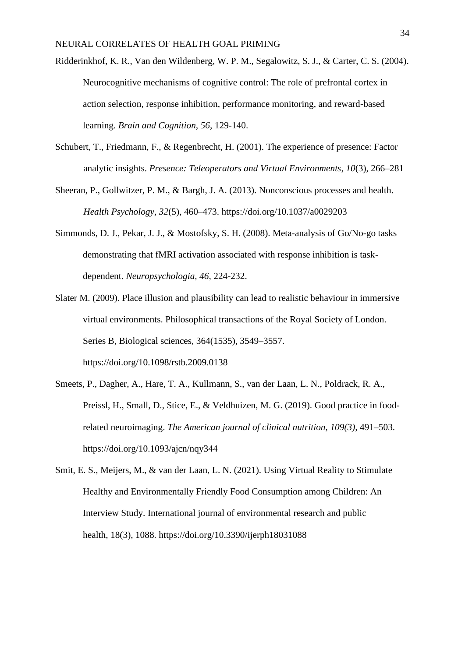- Ridderinkhof, K. R., Van den Wildenberg, W. P. M., Segalowitz, S. J., & Carter, C. S. (2004). Neurocognitive mechanisms of cognitive control: The role of prefrontal cortex in action selection, response inhibition, performance monitoring, and reward-based learning. *Brain and Cognition, 56,* 129-140.
- Schubert, T., Friedmann, F., & Regenbrecht, H. (2001). The experience of presence: Factor analytic insights. *Presence: Teleoperators and Virtual Environments*, *10*(3), 266–281
- Sheeran, P., Gollwitzer, P. M., & Bargh, J. A. (2013). Nonconscious processes and health. *Health Psychology*, *32*(5), 460–473. https://doi.org/10.1037/a0029203
- Simmonds, D. J., Pekar, J. J., & Mostofsky, S. H. (2008). Meta-analysis of Go/No-go tasks demonstrating that fMRI activation associated with response inhibition is taskdependent. *Neuropsychologia, 46,* 224-232.
- Slater M. (2009). Place illusion and plausibility can lead to realistic behaviour in immersive virtual environments. Philosophical transactions of the Royal Society of London. Series B, Biological sciences, 364(1535), 3549–3557. https://doi.org/10.1098/rstb.2009.0138
- Smeets, P., Dagher, A., Hare, T. A., Kullmann, S., van der Laan, L. N., Poldrack, R. A., Preissl, H., Small, D., Stice, E., & Veldhuizen, M. G. (2019). Good practice in foodrelated neuroimaging. *The American journal of clinical nutrition, 109(3),* 491–503. https://doi.org/10.1093/ajcn/nqy344
- Smit, E. S., Meijers, M., & van der Laan, L. N. (2021). Using Virtual Reality to Stimulate Healthy and Environmentally Friendly Food Consumption among Children: An Interview Study. International journal of environmental research and public health, 18(3), 1088. https://doi.org/10.3390/ijerph18031088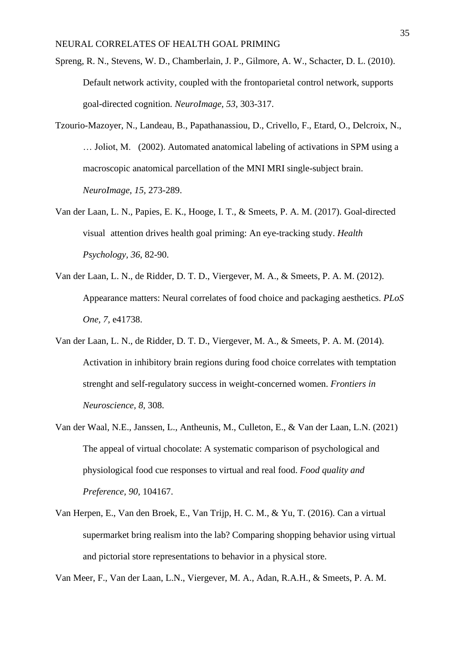- Spreng, R. N., Stevens, W. D., Chamberlain, J. P., Gilmore, A. W., Schacter, D. L. (2010). Default network activity, coupled with the frontoparietal control network, supports goal-directed cognition. *NeuroImage, 53,* 303-317.
- Tzourio-Mazoyer, N., Landeau, B., Papathanassiou, D., Crivello, F., Etard, O., Delcroix, N., … Joliot, M. (2002). Automated anatomical labeling of activations in SPM using a macroscopic anatomical parcellation of the MNI MRI single-subject brain. *NeuroImage, 15,* 273-289.
- Van der Laan, L. N., Papies, E. K., Hooge, I. T., & Smeets, P. A. M. (2017). Goal-directed visual attention drives health goal priming: An eye-tracking study. *Health Psychology, 36*, 82-90.
- Van der Laan, L. N., de Ridder, D. T. D., Viergever, M. A., & Smeets, P. A. M. (2012). Appearance matters: Neural correlates of food choice and packaging aesthetics. *PLoS One, 7,* e41738.
- Van der Laan, L. N., de Ridder, D. T. D., Viergever, M. A., & Smeets, P. A. M. (2014). Activation in inhibitory brain regions during food choice correlates with temptation strenght and self-regulatory success in weight-concerned women. *Frontiers in Neuroscience, 8,* 308.
- Van der Waal, N.E., Janssen, L., Antheunis, M., Culleton, E., & Van der Laan, L.N. (2021) The appeal of virtual chocolate: A systematic comparison of psychological and physiological food cue responses to virtual and real food. *Food quality and Preference, 90,* 104167.
- Van Herpen, E., Van den Broek, E., Van Trijp, H. C. M., & Yu, T. (2016). Can a virtual supermarket bring realism into the lab? Comparing shopping behavior using virtual and pictorial store representations to behavior in a physical store.

Van Meer, F., Van der Laan, L.N., Viergever, M. A., Adan, R.A.H., & Smeets, P. A. M.